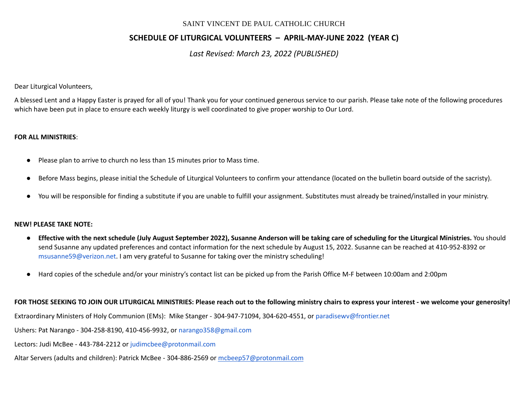# **SCHEDULE OF LITURGICAL VOLUNTEERS – APRIL-MAY-JUNE 2022 (YEAR C)**

*Last Revised: March 23, 2022 (PUBLISHED)*

Dear Liturgical Volunteers,

A blessed Lent and a Happy Easter is prayed for all of you! Thank you for your continued generous service to our parish. Please take note of the following procedures which have been put in place to ensure each weekly liturgy is well coordinated to give proper worship to Our Lord.

### **FOR ALL MINISTRIES**:

- Please plan to arrive to church no less than 15 minutes prior to Mass time.
- Before Mass begins, please initial the Schedule of Liturgical Volunteers to confirm your attendance (located on the bulletin board outside of the sacristy).
- You will be responsible for finding a substitute if you are unable to fulfill your assignment. Substitutes must already be trained/installed in your ministry.

#### **NEW! PLEASE TAKE NOTE:**

- Effective with the next schedule (July August September 2022), Susanne Anderson will be taking care of scheduling for the Liturgical Ministries. You should send Susanne any updated preferences and contact information for the next schedule by August 15, 2022. Susanne can be reached at 410-952-8392 or [msusanne59@verizon.net](mailto:msusanne59@verizon.net). I am very grateful to Susanne for taking over the ministry scheduling!
- Hard copies of the schedule and/or your ministry's contact list can be picked up from the Parish Office M-F between 10:00am and 2:00pm

FOR THOSE SEEKING TO JOIN OUR LITURGICAL MINISTRIES: Please reach out to the following ministry chairs to express your interest - we welcome your generosity!

Extraordinary Ministers of Holy Communion (EMs): Mike Stanger - 304-947-71094, 304-620-4551, or [paradisewv@frontier.net](mailto:paradisewv@frontier.net)

Ushers: Pat Narango - 304-258-8190, 410-456-9932, or [narango358@gmail.com](mailto:narango358@gmail.com)

Lectors: Judi McBee - 443-784-2212 or [judimcbee@protonmail.com](mailto:judimcbee@protonmail.com)

Altar Servers (adults and children): Patrick McBee - 304-886-2569 or [mcbeep57@protonmail.com](mailto:mcbeep57@protonmail.com)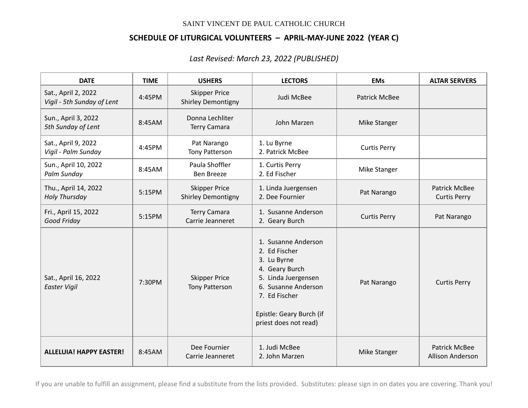## **SCHEDULE OF LITURGICAL VOLUNTEERS – APRIL-MAY-JUNE 2022 (YEAR C)**

*Last Revised: March 23, 2022 (PUBLISHED)*

| <b>DATE</b>                                       | <b>TIME</b> | <b>USHERS</b>                                     | <b>LECTORS</b>                                                                                                                                                                            | <b>EMs</b>           | <b>ALTAR SERVERS</b>                     |
|---------------------------------------------------|-------------|---------------------------------------------------|-------------------------------------------------------------------------------------------------------------------------------------------------------------------------------------------|----------------------|------------------------------------------|
| Sat., April 2, 2022<br>Vigil - 5th Sunday of Lent | 4:45PM      | <b>Skipper Price</b><br><b>Shirley Demontigny</b> | Judi McBee                                                                                                                                                                                | <b>Patrick McBee</b> |                                          |
| Sun., April 3, 2022<br>5th Sunday of Lent         | 8:45AM      | Donna Lechliter<br><b>Terry Camara</b>            | John Marzen                                                                                                                                                                               | Mike Stanger         |                                          |
| Sat., April 9, 2022<br>Vigil - Palm Sunday        | 4:45PM      | Pat Narango<br>Tony Patterson                     | 1. Lu Byrne<br>2. Patrick McBee                                                                                                                                                           | <b>Curtis Perry</b>  |                                          |
| Sun., April 10, 2022<br>Palm Sunday               | 8:45AM      | Paula Shoffler<br><b>Ben Breeze</b>               | 1. Curtis Perry<br>2. Ed Fischer                                                                                                                                                          | Mike Stanger         |                                          |
| Thu., April 14, 2022<br>Holy Thursday             | 5:15PM      | <b>Skipper Price</b><br><b>Shirley Demontigny</b> | 1. Linda Juergensen<br>2. Dee Fournier                                                                                                                                                    | Pat Narango          | Patrick McBee<br><b>Curtis Perry</b>     |
| Fri., April 15, 2022<br>Good Friday               | 5:15PM      | <b>Terry Camara</b><br>Carrie Jeanneret           | 1. Susanne Anderson<br>2. Geary Burch                                                                                                                                                     | <b>Curtis Perry</b>  | Pat Narango                              |
| Sat., April 16, 2022<br><b>Easter Vigil</b>       | 7:30PM      | <b>Skipper Price</b><br><b>Tony Patterson</b>     | 1. Susanne Anderson<br>2. Ed Fischer<br>3. Lu Byrne<br>4. Geary Burch<br>5. Linda Juergensen<br>6. Susanne Anderson<br>7. Ed Fischer<br>Epistle: Geary Burch (if<br>priest does not read) | Pat Narango          | <b>Curtis Perry</b>                      |
| <b>ALLELUIA! HAPPY EASTER!</b>                    | 8:45AM      | Dee Fournier<br>Carrie Jeanneret                  | 1. Judi McBee<br>2. John Marzen                                                                                                                                                           | Mike Stanger         | Patrick McBee<br><b>Allison Anderson</b> |

If you are unable to fulfill an assignment, please find a substitute from the lists provided. Substitutes: please sign in on dates you are covering. Thank you!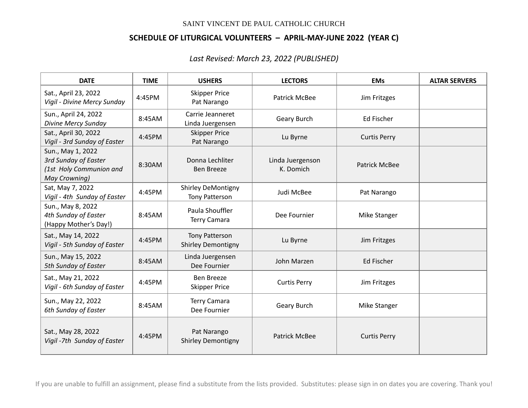## **SCHEDULE OF LITURGICAL VOLUNTEERS – APRIL-MAY-JUNE 2022 (YEAR C)**

*Last Revised: March 23, 2022 (PUBLISHED)*

| <b>DATE</b>                                                                           | <b>TIME</b> | <b>USHERS</b>                                      | <b>LECTORS</b>                | <b>EMs</b>           | <b>ALTAR SERVERS</b> |
|---------------------------------------------------------------------------------------|-------------|----------------------------------------------------|-------------------------------|----------------------|----------------------|
| Sat., April 23, 2022<br>Vigil - Divine Mercy Sunday                                   | 4:45PM      | <b>Skipper Price</b><br>Pat Narango                | <b>Patrick McBee</b>          | Jim Fritzges         |                      |
| Sun., April 24, 2022<br><b>Divine Mercy Sunday</b>                                    | 8:45AM      | Carrie Jeanneret<br>Linda Juergensen               | Geary Burch                   | Ed Fischer           |                      |
| Sat., April 30, 2022<br>Vigil - 3rd Sunday of Easter                                  | 4:45PM      | <b>Skipper Price</b><br>Pat Narango                | Lu Byrne                      | <b>Curtis Perry</b>  |                      |
| Sun., May 1, 2022<br>3rd Sunday of Easter<br>(1st Holy Communion and<br>May Crowning) | 8:30AM      | Donna Lechliter<br><b>Ben Breeze</b>               | Linda Juergenson<br>K. Domich | <b>Patrick McBee</b> |                      |
| Sat, May 7, 2022<br>Vigil - 4th Sunday of Easter                                      | 4:45PM      | <b>Shirley DeMontigny</b><br><b>Tony Patterson</b> | Judi McBee                    | Pat Narango          |                      |
| Sun., May 8, 2022<br>4th Sunday of Easter<br>(Happy Mother's Day!)                    | 8:45AM      | Paula Shouffler<br><b>Terry Camara</b>             | Dee Fournier                  | Mike Stanger         |                      |
| Sat., May 14, 2022<br>Vigil - 5th Sunday of Easter                                    | 4:45PM      | <b>Tony Patterson</b><br><b>Shirley Demontigny</b> | Lu Byrne                      | Jim Fritzges         |                      |
| Sun., May 15, 2022<br>5th Sunday of Easter                                            | 8:45AM      | Linda Juergensen<br>Dee Fournier                   | John Marzen                   | <b>Ed Fischer</b>    |                      |
| Sat., May 21, 2022<br>Vigil - 6th Sunday of Easter                                    | 4:45PM      | Ben Breeze<br><b>Skipper Price</b>                 | <b>Curtis Perry</b>           | Jim Fritzges         |                      |
| Sun., May 22, 2022<br>6th Sunday of Easter                                            | 8:45AM      | <b>Terry Camara</b><br>Dee Fournier                | Geary Burch                   | Mike Stanger         |                      |
| Sat., May 28, 2022<br>Vigil -7th Sunday of Easter                                     | 4:45PM      | Pat Narango<br><b>Shirley Demontigny</b>           | Patrick McBee                 | <b>Curtis Perry</b>  |                      |

If you are unable to fulfill an assignment, please find a substitute from the lists provided. Substitutes: please sign in on dates you are covering. Thank you!